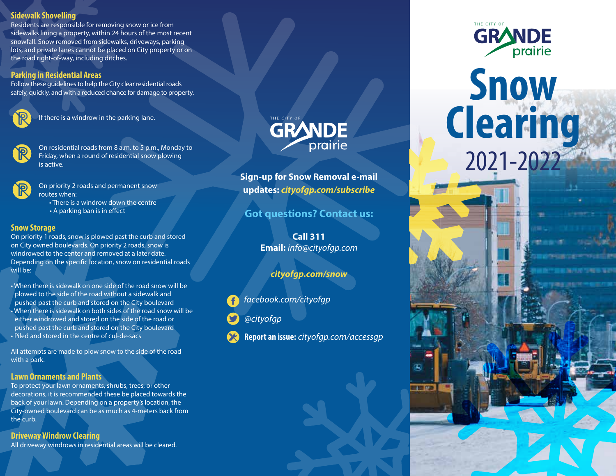#### **Sidewalk Shovelling**

Residents are responsible for removing snow or ice from sidewalks lining a property, within 24 hours of the most recent snowfall. Snow removed from sidewalks, driveways, parking lots, and private lanes cannot be placed on City property or on the road right-of-way, including ditches.

#### **Parking in Residential Areas**

Follow these guidelines to help the City clear residential roads safely, quickly, and with a reduced chance for damage to property.



If there is a windrow in the parking lane.

 On residential roads from 8 a.m. to 5 p.m., Monday to Friday, when a round of residential snow plowing is active.

 On priority 2 roads and permanent snow routes when:

> • There is a windrow down the centre  $\cdot$  A parking ban is in effect

#### **Snow Storage**

On priority 1 roads, snow is plowed past the curb and stored on City owned boulevards. On priority 2 roads, snow is windrowed to the center and removed at a later date. Depending on the specific location, snow on residential roads will be:

• When there is sidewalk on one side of the road snow will be plowed to the side of the road without a sidewalk and pushed past the curb and stored on the City boulevard • When there is sidewalk on both sides of the road snow will be either windrowed and stored on the side of the road or pushed past the curb and stored on the City boulevard • Piled and stored in the centre of cul-de-sacs

All attempts are made to plow snow to the side of the road with a park.

### **Lawn Ornaments and Plants**

To protect your lawn ornaments, shrubs, trees, or other decorations, it is recommended these be placed towards the back of your lawn. Depending on a property's location, the City-owned boulevard can be as much as 4-meters back from the curb.

#### **Driveway Windrow Clearing**

All driveway windrows in residential areas will be cleared.



**Sign-up for Snow Removal e-mail updates:** *cityofgp.com/subscribe*

**Got questions? Contact us:**

**Call 311 Email:** *info@cityofgp.com*

*cityofgp.com/snow*

*facebook.com/cityofgp*

*@cityofgp*

**Report an issue:** *cityofgp.com/accessgp*

**FILE STA** 



# **Snow Clearing** 2021-2022